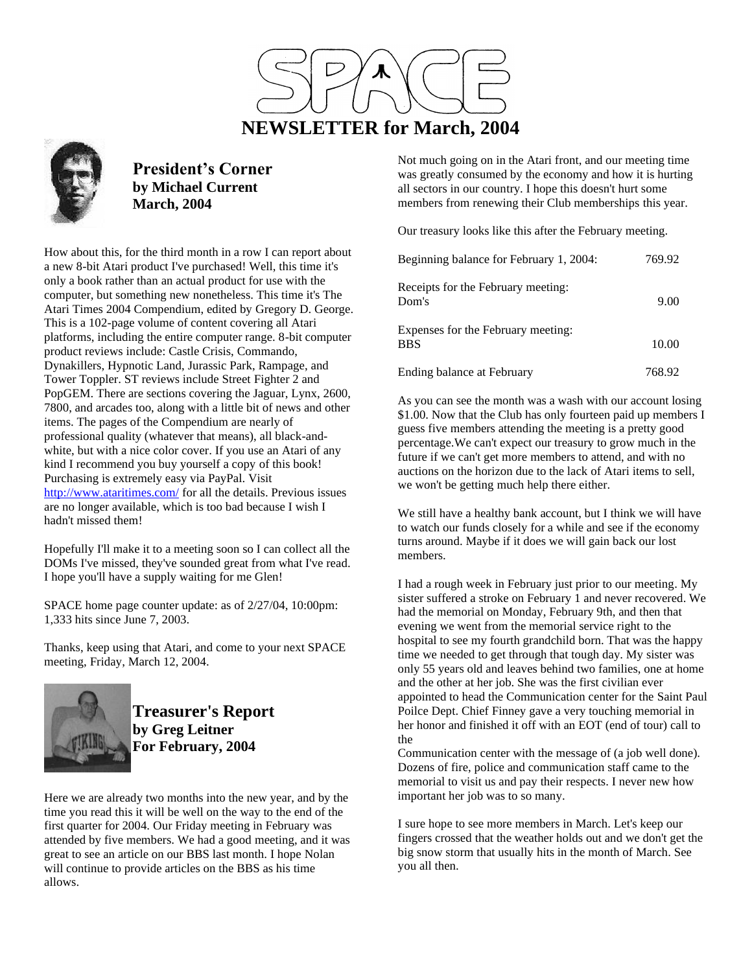



**President's Corner by Michael Current March, 2004**

How about this, for the third month in a row I can report about a new 8-bit Atari product I've purchased! Well, this time it's only a book rather than an actual product for use with the computer, but something new nonetheless. This time it's The Atari Times 2004 Compendium, edited by Gregory D. George. This is a 102-page volume of content covering all Atari platforms, including the entire computer range. 8-bit computer product reviews include: Castle Crisis, Commando, Dynakillers, Hypnotic Land, Jurassic Park, Rampage, and Tower Toppler. ST reviews include Street Fighter 2 and PopGEM. There are sections covering the Jaguar, Lynx, 2600, 7800, and arcades too, along with a little bit of news and other items. The pages of the Compendium are nearly of professional quality (whatever that means), all black-andwhite, but with a nice color cover. If you use an Atari of any kind I recommend you buy yourself a copy of this book! Purchasing is extremely easy via PayPal. Visit <http://www.ataritimes.com/> for all the details. Previous issues are no longer available, which is too bad because I wish I hadn't missed them!

Hopefully I'll make it to a meeting soon so I can collect all the DOMs I've missed, they've sounded great from what I've read. I hope you'll have a supply waiting for me Glen!

SPACE home page counter update: as of 2/27/04, 10:00pm: 1,333 hits since June 7, 2003.

Thanks, keep using that Atari, and come to your next SPACE meeting, Friday, March 12, 2004.



**Treasurer's Report by Greg Leitner For February, 2004**

Here we are already two months into the new year, and by the time you read this it will be well on the way to the end of the first quarter for 2004. Our Friday meeting in February was attended by five members. We had a good meeting, and it was great to see an article on our BBS last month. I hope Nolan will continue to provide articles on the BBS as his time allows.

Not much going on in the Atari front, and our meeting time was greatly consumed by the economy and how it is hurting all sectors in our country. I hope this doesn't hurt some members from renewing their Club memberships this year.

Our treasury looks like this after the February meeting.

| Beginning balance for February 1, 2004:          | 769.92 |
|--------------------------------------------------|--------|
| Receipts for the February meeting:<br>Dom's      | 9.00   |
| Expenses for the February meeting:<br><b>BBS</b> | 10.00  |
| Ending balance at February                       | 768.92 |

As you can see the month was a wash with our account losing \$1.00. Now that the Club has only fourteen paid up members I guess five members attending the meeting is a pretty good percentage.We can't expect our treasury to grow much in the future if we can't get more members to attend, and with no auctions on the horizon due to the lack of Atari items to sell, we won't be getting much help there either.

We still have a healthy bank account, but I think we will have to watch our funds closely for a while and see if the economy turns around. Maybe if it does we will gain back our lost members.

I had a rough week in February just prior to our meeting. My sister suffered a stroke on February 1 and never recovered. We had the memorial on Monday, February 9th, and then that evening we went from the memorial service right to the hospital to see my fourth grandchild born. That was the happy time we needed to get through that tough day. My sister was only 55 years old and leaves behind two families, one at home and the other at her job. She was the first civilian ever appointed to head the Communication center for the Saint Paul Poilce Dept. Chief Finney gave a very touching memorial in her honor and finished it off with an EOT (end of tour) call to the

Communication center with the message of (a job well done). Dozens of fire, police and communication staff came to the memorial to visit us and pay their respects. I never new how important her job was to so many.

I sure hope to see more members in March. Let's keep our fingers crossed that the weather holds out and we don't get the big snow storm that usually hits in the month of March. See you all then.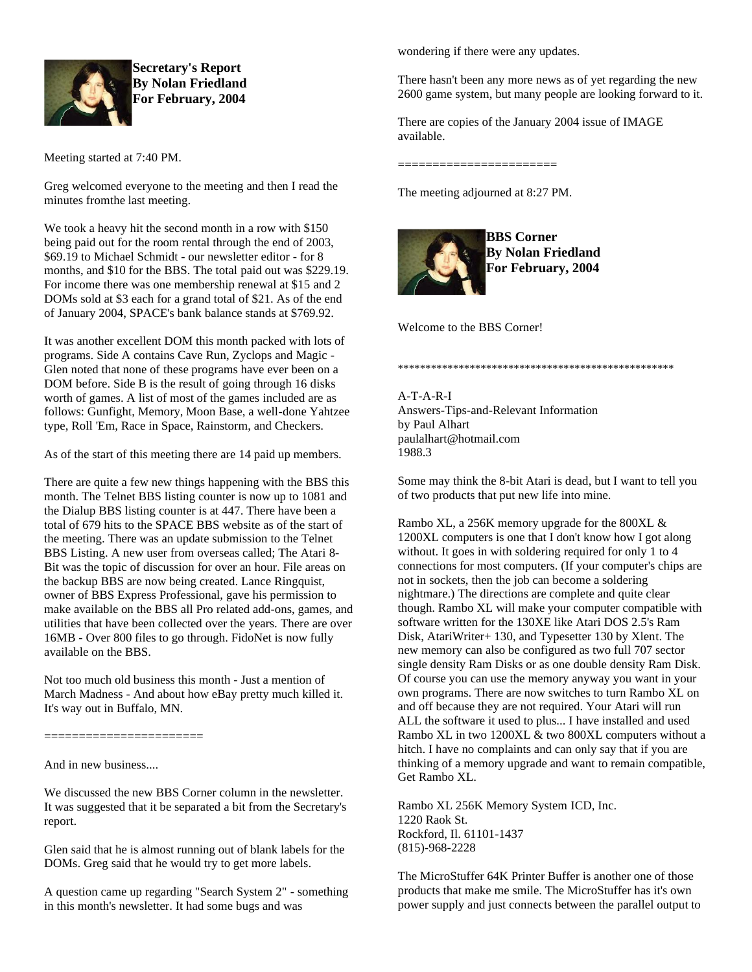

**Secretary's Report By Nolan Friedland For February, 2004**

Meeting started at 7:40 PM.

Greg welcomed everyone to the meeting and then I read the minutes fromthe last meeting.

We took a heavy hit the second month in a row with \$150 being paid out for the room rental through the end of 2003, \$69.19 to Michael Schmidt - our newsletter editor - for 8 months, and \$10 for the BBS. The total paid out was \$229.19. For income there was one membership renewal at \$15 and 2 DOMs sold at \$3 each for a grand total of \$21. As of the end of January 2004, SPACE's bank balance stands at \$769.92.

It was another excellent DOM this month packed with lots of programs. Side A contains Cave Run, Zyclops and Magic - Glen noted that none of these programs have ever been on a DOM before. Side B is the result of going through 16 disks worth of games. A list of most of the games included are as follows: Gunfight, Memory, Moon Base, a well-done Yahtzee type, Roll 'Em, Race in Space, Rainstorm, and Checkers.

As of the start of this meeting there are 14 paid up members.

There are quite a few new things happening with the BBS this month. The Telnet BBS listing counter is now up to 1081 and the Dialup BBS listing counter is at 447. There have been a total of 679 hits to the SPACE BBS website as of the start of the meeting. There was an update submission to the Telnet BBS Listing. A new user from overseas called; The Atari 8- Bit was the topic of discussion for over an hour. File areas on the backup BBS are now being created. Lance Ringquist, owner of BBS Express Professional, gave his permission to make available on the BBS all Pro related add-ons, games, and utilities that have been collected over the years. There are over 16MB - Over 800 files to go through. FidoNet is now fully available on the BBS.

Not too much old business this month - Just a mention of March Madness - And about how eBay pretty much killed it. It's way out in Buffalo, MN.

=======================

And in new business....

We discussed the new BBS Corner column in the newsletter. It was suggested that it be separated a bit from the Secretary's report.

Glen said that he is almost running out of blank labels for the DOMs. Greg said that he would try to get more labels.

A question came up regarding "Search System 2" - something in this month's newsletter. It had some bugs and was

wondering if there were any updates.

There hasn't been any more news as of yet regarding the new 2600 game system, but many people are looking forward to it.

There are copies of the January 2004 issue of IMAGE available.

=======================

The meeting adjourned at 8:27 PM.



**BBS Corner By Nolan Friedland For February, 2004**

Welcome to the BBS Corner!

\*\*\*\*\*\*\*\*\*\*\*\*\*\*\*\*\*\*\*\*\*\*\*\*\*\*\*\*\*\*\*\*\*\*\*\*\*\*\*\*\*\*\*\*\*\*\*\*\*\*

A-T-A-R-I Answers-Tips-and-Relevant Information by Paul Alhart paulalhart@hotmail.com 1988.3

Some may think the 8-bit Atari is dead, but I want to tell you of two products that put new life into mine.

Rambo XL, a 256K memory upgrade for the 800XL & 1200XL computers is one that I don't know how I got along without. It goes in with soldering required for only 1 to 4 connections for most computers. (If your computer's chips are not in sockets, then the job can become a soldering nightmare.) The directions are complete and quite clear though. Rambo XL will make your computer compatible with software written for the 130XE like Atari DOS 2.5's Ram Disk, AtariWriter+ 130, and Typesetter 130 by Xlent. The new memory can also be configured as two full 707 sector single density Ram Disks or as one double density Ram Disk. Of course you can use the memory anyway you want in your own programs. There are now switches to turn Rambo XL on and off because they are not required. Your Atari will run ALL the software it used to plus... I have installed and used Rambo XL in two 1200XL & two 800XL computers without a hitch. I have no complaints and can only say that if you are thinking of a memory upgrade and want to remain compatible, Get Rambo XL.

Rambo XL 256K Memory System ICD, Inc. 1220 Raok St. Rockford, Il. 61101-1437 (815)-968-2228

The MicroStuffer 64K Printer Buffer is another one of those products that make me smile. The MicroStuffer has it's own power supply and just connects between the parallel output to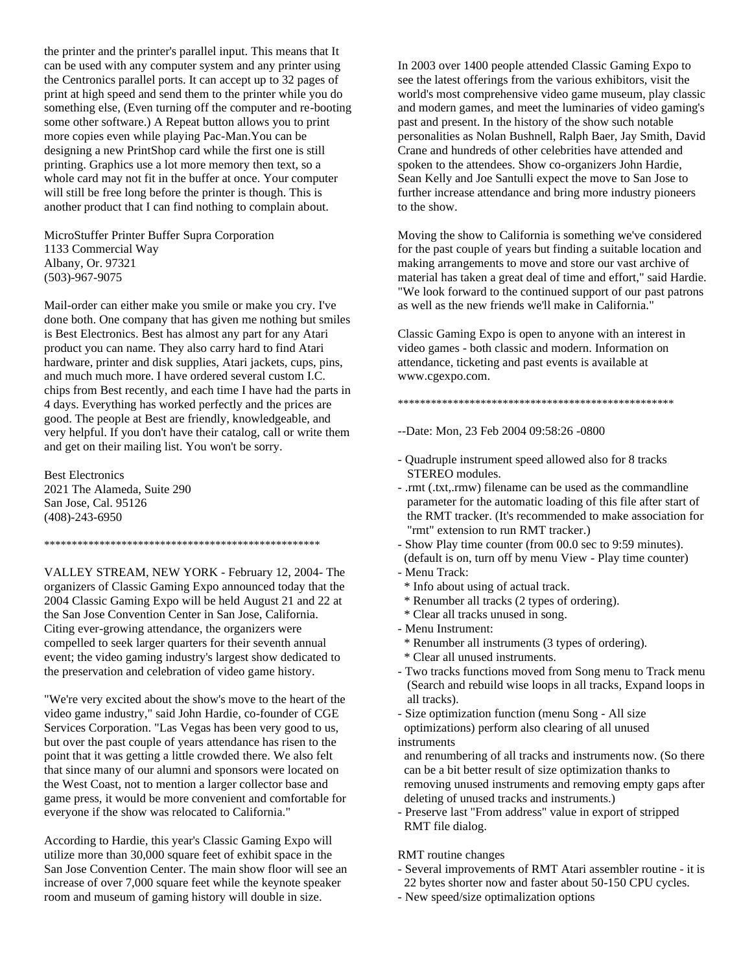the printer and the printer's parallel input. This means that It can be used with any computer system and any printer using the Centronics parallel ports. It can accept up to 32 pages of print at high speed and send them to the printer while you do something else, (Even turning off the computer and re-booting some other software.) A Repeat button allows you to print more copies even while playing Pac-Man.You can be designing a new PrintShop card while the first one is still printing. Graphics use a lot more memory then text, so a whole card may not fit in the buffer at once. Your computer will still be free long before the printer is though. This is another product that I can find nothing to complain about.

MicroStuffer Printer Buffer Supra Corporation 1133 Commercial Way Albany, Or. 97321 (503)-967-9075

Mail-order can either make you smile or make you cry. I've done both. One company that has given me nothing but smiles is Best Electronics. Best has almost any part for any Atari product you can name. They also carry hard to find Atari hardware, printer and disk supplies, Atari jackets, cups, pins, and much much more. I have ordered several custom I.C. chips from Best recently, and each time I have had the parts in 4 days. Everything has worked perfectly and the prices are good. The people at Best are friendly, knowledgeable, and very helpful. If you don't have their catalog, call or write them and get on their mailing list. You won't be sorry.

Best Electronics 2021 The Alameda, Suite 290 San Jose, Cal. 95126 (408)-243-6950

VALLEY STREAM, NEW YORK - February 12, 2004- The organizers of Classic Gaming Expo announced today that the 2004 Classic Gaming Expo will be held August 21 and 22 at the San Jose Convention Center in San Jose, California. Citing ever-growing attendance, the organizers were compelled to seek larger quarters for their seventh annual event; the video gaming industry's largest show dedicated to the preservation and celebration of video game history.

\*\*\*\*\*\*\*\*\*\*\*\*\*\*\*\*\*\*\*\*\*\*\*\*\*\*\*\*\*\*\*\*\*\*\*\*\*\*\*\*\*\*\*\*\*\*\*\*\*\*

"We're very excited about the show's move to the heart of the video game industry," said John Hardie, co-founder of CGE Services Corporation. "Las Vegas has been very good to us, but over the past couple of years attendance has risen to the point that it was getting a little crowded there. We also felt that since many of our alumni and sponsors were located on the West Coast, not to mention a larger collector base and game press, it would be more convenient and comfortable for everyone if the show was relocated to California."

According to Hardie, this year's Classic Gaming Expo will utilize more than 30,000 square feet of exhibit space in the San Jose Convention Center. The main show floor will see an increase of over 7,000 square feet while the keynote speaker room and museum of gaming history will double in size.

In 2003 over 1400 people attended Classic Gaming Expo to see the latest offerings from the various exhibitors, visit the world's most comprehensive video game museum, play classic and modern games, and meet the luminaries of video gaming's past and present. In the history of the show such notable personalities as Nolan Bushnell, Ralph Baer, Jay Smith, David Crane and hundreds of other celebrities have attended and spoken to the attendees. Show co-organizers John Hardie, Sean Kelly and Joe Santulli expect the move to San Jose to further increase attendance and bring more industry pioneers to the show.

Moving the show to California is something we've considered for the past couple of years but finding a suitable location and making arrangements to move and store our vast archive of material has taken a great deal of time and effort," said Hardie. "We look forward to the continued support of our past patrons as well as the new friends we'll make in California."

Classic Gaming Expo is open to anyone with an interest in video games - both classic and modern. Information on attendance, ticketing and past events is available at www.cgexpo.com.

## \*\*\*\*\*\*\*\*\*\*\*\*\*\*\*\*\*\*\*\*\*\*\*\*\*\*\*\*\*\*\*\*\*\*\*\*\*\*\*\*\*\*\*\*\*\*\*\*\*\*

- --Date: Mon, 23 Feb 2004 09:58:26 -0800
- Quadruple instrument speed allowed also for 8 tracks STEREO modules.
- .rmt (.txt,.rmw) filename can be used as the commandline parameter for the automatic loading of this file after start of the RMT tracker. (It's recommended to make association for "rmt" extension to run RMT tracker.)
- Show Play time counter (from 00.0 sec to 9:59 minutes). (default is on, turn off by menu View - Play time counter)
- Menu Track:
- \* Info about using of actual track.
- \* Renumber all tracks (2 types of ordering).
- \* Clear all tracks unused in song.
- Menu Instrument:
- \* Renumber all instruments (3 types of ordering).
- \* Clear all unused instruments.
- Two tracks functions moved from Song menu to Track menu (Search and rebuild wise loops in all tracks, Expand loops in all tracks).
- Size optimization function (menu Song All size optimizations) perform also clearing of all unused instruments

and renumbering of all tracks and instruments now. (So there can be a bit better result of size optimization thanks to removing unused instruments and removing empty gaps after deleting of unused tracks and instruments.)

- Preserve last "From address" value in export of stripped RMT file dialog.

## RMT routine changes

- Several improvements of RMT Atari assembler routine it is 22 bytes shorter now and faster about 50-150 CPU cycles.
- New speed/size optimalization options